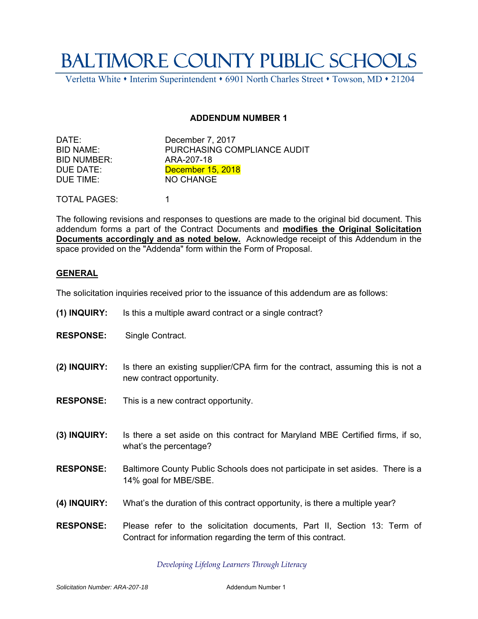## BALTIMORE COUNTY PUBLIC SCHOOLS

Verletta White • Interim Superintendent • 6901 North Charles Street • Towson, MD • 21204

## **ADDENDUM NUMBER 1**

BID NUMBER: ARA-207-18 DUE TIME: NO CHANGE

DATE: December 7, 2017 BID NAME: PURCHASING COMPLIANCE AUDIT DUE DATE: December 15, 2018

TOTAL PAGES: 1

The following revisions and responses to questions are made to the original bid document. This addendum forms a part of the Contract Documents and **modifies the Original Solicitation Documents accordingly and as noted below.** Acknowledge receipt of this Addendum in the space provided on the "Addenda" form within the Form of Proposal.

## **GENERAL**

The solicitation inquiries received prior to the issuance of this addendum are as follows:

- **(1) INQUIRY:** Is this a multiple award contract or a single contract?
- **RESPONSE:** Single Contract.
- **(2) INQUIRY:** Is there an existing supplier/CPA firm for the contract, assuming this is not a new contract opportunity.
- **RESPONSE:** This is a new contract opportunity.
- **(3) INQUIRY:** Is there a set aside on this contract for Maryland MBE Certified firms, if so, what's the percentage?
- **RESPONSE:** Baltimore County Public Schools does not participate in set asides. There is a 14% goal for MBE/SBE.
- **(4) INQUIRY:** What's the duration of this contract opportunity, is there a multiple year?
- **RESPONSE:** Please refer to the solicitation documents, Part II, Section 13: Term of Contract for information regarding the term of this contract.

*Developing Lifelong Learners Through Literacy*